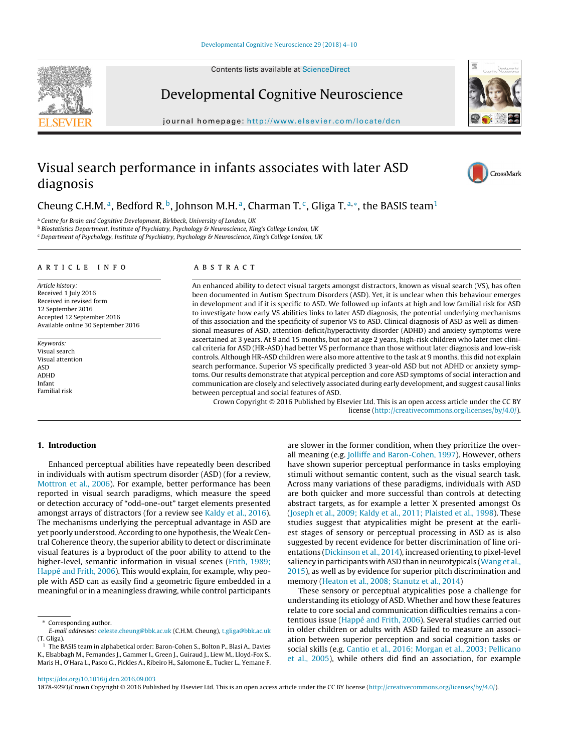Contents lists available at [ScienceDirect](http://www.sciencedirect.com/science/journal/18789293)



Developmental Cognitive Neuroscience

iournal homepage: <http://www.elsevier.com/locate/dcn>



# Visual search performance in infants associates with later ASD diagnosis



# Cheung C.H.M.<sup>a</sup>, Bedford R.<sup>b</sup>, Johnson M.H.<sup>a</sup>, Charman T.<sup>c</sup>, Gliga T.<sup>a,\*</sup>, the BASIS team<sup>1</sup>

a Centre for Brain and Cognitive Development, Birkbeck, University of London, UK

<sup>b</sup> Biostatistics Department, Institute of Psychiatry, Psychology & Neuroscience, King's College London, UK

<sup>c</sup> Department of Psychology, Institute of Psychiatry, Psychology & Neuroscience, King's College London, UK

#### a r t i c l e i n f o

Article history: Received 1 July 2016 Received in revised form 12 September 2016 Accepted 12 September 2016 Available online 30 September 2016

Keywords: Visual search Visual attention ASD ADHD Infant Familial risk

#### A B S T R A C T

An enhanced ability to detect visual targets amongst distractors, known as visual search (VS), has often been documented in Autism Spectrum Disorders (ASD). Yet, it is unclear when this behaviour emerges in development and if it is specific to ASD. We followed up infants at high and low familial risk for ASD to investigate how early VS abilities links to later ASD diagnosis, the potential underlying mechanisms of this association and the specificity of superior VS to ASD. Clinical diagnosis of ASD as well as dimensional measures of ASD, attention-deficit/hyperactivity disorder (ADHD) and anxiety symptoms were ascertained at 3 years. At 9 and 15 months, but not at age 2 years, high-risk children who later met clinical criteria for ASD (HR-ASD) had better VS performance than those without later diagnosis and low-risk controls. Although HR-ASD children were also more attentive to the task at 9 months, this did not explain search performance. Superior VS specifically predicted 3 year-old ASD but not ADHD or anxiety symptoms. Our results demonstrate that atypical perception and core ASD symptoms of social interaction and communication are closely and selectively associated during early development, and suggest causal links between perceptual and social features of ASD.

Crown Copyright © 2016 Published by Elsevier Ltd. This is an open access article under the CC BY license [\(http://creativecommons.org/licenses/by/4.0/](http://creativecommons.org/licenses/by/4.0/)).

#### **1. Introduction**

Enhanced perceptual abilities have repeatedly been described in individuals with autism spectrum disorder (ASD) (for a review, [Mottron](#page-6-0) et [al.,](#page-6-0) [2006\).](#page-6-0) For example, better performance has been reported in visual search paradigms, which measure the speed or detection accuracy of "odd-one-out" target elements presented amongst arrays of distractors (for a review see [Kaldy](#page-6-0) et [al.,](#page-6-0) [2016\).](#page-6-0) The mechanisms underlying the perceptual advantage in ASD are yet poorly understood. According to one hypothesis, the Weak Central Coherence theory, the superior ability to detect or discriminate visual features is a byproduct of the poor ability to attend to the higher-level, semantic information in visual scenes ([Frith,](#page-6-0) [1989;](#page-6-0) [Happé](#page-6-0) [and](#page-6-0) [Frith,](#page-6-0) [2006\).](#page-6-0) This would explain, for example, why people with ASD can as easily find a geometric figure embedded in a meaningful or in a meaningless drawing, while control participants

Corresponding author.

are slower in the former condition, when they prioritize the overall meaning (e.g. [Jolliffe](#page-6-0) [and](#page-6-0) [Baron-Cohen,](#page-6-0) [1997\).](#page-6-0) However, others have shown superior perceptual performance in tasks employing stimuli without semantic content, such as the visual search task. Across many variations of these paradigms, individuals with ASD are both quicker and more successful than controls at detecting abstract targets, as for example a letter X presented amongst Os [\(Joseph](#page-6-0) et [al.,](#page-6-0) [2009;](#page-6-0) [Kaldy](#page-6-0) et [al.,](#page-6-0) [2011;](#page-6-0) [Plaisted](#page-6-0) et [al.,](#page-6-0) [1998\).](#page-6-0) These studies suggest that atypicalities might be present at the earliest stages of sensory or perceptual processing in ASD as is also suggested by recent evidence for better discrimination of line orientations ([Dickinson](#page-6-0) et [al.,](#page-6-0) [2014\),](#page-6-0) increased orienting to pixel-level saliency in participants with ASD than in neurotypicals ([Wang](#page-6-0) et [al.,](#page-6-0) [2015\),](#page-6-0) as well as by evidence for superior pitch discrimination and memory ([Heaton](#page-6-0) et [al.,](#page-6-0) [2008;](#page-6-0) [Stanutz](#page-6-0) et [al.,](#page-6-0) [2014\)](#page-6-0)

These sensory or perceptual atypicalities pose a challenge for understanding its etiology of ASD. Whether and how these features relate to core social and communication difficulties remains a contentious issue ([Happé](#page-6-0) [and](#page-6-0) [Frith,](#page-6-0) [2006\).](#page-6-0) Several studies carried out in older children or adults with ASD failed to measure an association between superior perception and social cognition tasks or social skills (e.g. [Cantio](#page-5-0) et [al.,](#page-5-0) [2016;](#page-5-0) [Morgan](#page-5-0) et [al.,](#page-5-0) [2003;](#page-5-0) [Pellicano](#page-5-0) et [al.,](#page-5-0) [2005\),](#page-5-0) while others did find an association, for example

<https://doi.org/10.1016/j.dcn.2016.09.003>

1878-9293/Crown Copyright © 2016 Published by Elsevier Ltd. This is an open access article under the CC BY license [\(http://creativecommons.org/licenses/by/4.0/](http://creativecommons.org/licenses/by/4.0/)).

E-mail addresses: [celeste.cheung@bbk.ac.uk](mailto:celeste.cheung@bbk.ac.uk) (C.H.M. Cheung), [t.gliga@bbk.ac.uk](mailto:t.gliga@bbk.ac.uk) (T. Gliga).

<sup>&</sup>lt;sup>1</sup> The BASIS team in alphabetical order: Baron-Cohen S., Bolton P., Blasi A., Davies K., Elsabbagh M., Fernandes J., Gammer I., Green J., Guiraud J., Liew M., Lloyd-Fox S., Maris H., O'Hara L., Pasco G., Pickles A., Ribeiro H., Salomone E., Tucker L., Yemane F.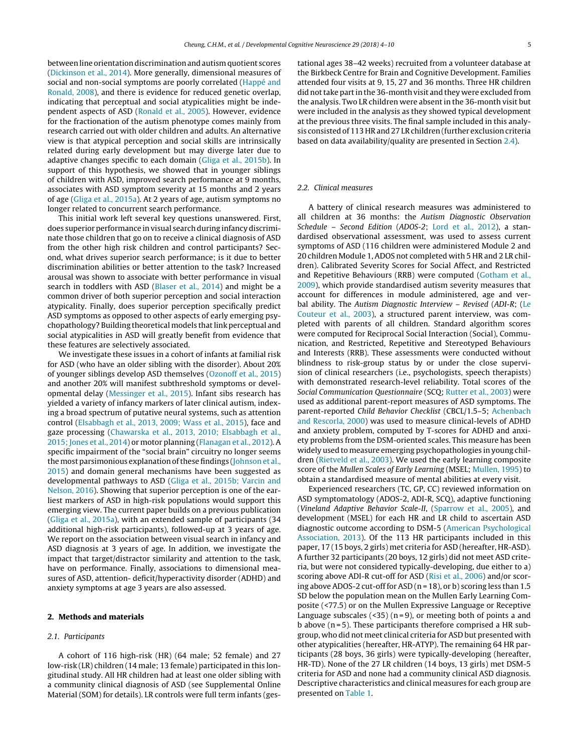between line orientation discrimination and autism quotient scores ([Dickinson](#page-6-0) et [al.,](#page-6-0) [2014\).](#page-6-0) More generally, dimensional measures of social and non-social symptoms are poorly correlated [\(Happé](#page-6-0) [and](#page-6-0) [Ronald,](#page-6-0) [2008\),](#page-6-0) and there is evidence for reduced genetic overlap, indicating that perceptual and social atypicalities might be independent aspects of ASD [\(Ronald](#page-6-0) et [al.,](#page-6-0) [2005\).](#page-6-0) However, evidence for the fractionation of the autism phenotype comes mainly from research carried out with older children and adults. An alternative view is that atypical perception and social skills are intrinsically related during early development but may diverge later due to adaptive changes specific to each domain [\(Gliga](#page-6-0) et [al.,](#page-6-0) [2015b\).](#page-6-0) In support of this hypothesis, we showed that in younger siblings of children with ASD, improved search performance at 9 months, associates with ASD symptom severity at 15 months and 2 years of age ([Gliga](#page-6-0) et [al.,](#page-6-0) [2015a\).](#page-6-0) At 2 years of age, autism symptoms no longer related to concurrent search performance.

This initial work left several key questions unanswered. First, does superior performance in visual search during infancy discriminate those children that go on to receive a clinical diagnosis of ASD from the other high risk children and control participants? Second, what drives superior search performance; is it due to better discrimination abilities or better attention to the task? Increased arousal was shown to associate with better performance in visual search in toddlers with ASD ([Blaser](#page-5-0) et [al.,](#page-5-0) [2014\)](#page-5-0) and might be a common driver of both superior perception and social interaction atypicality. Finally, does superior perception specifically predict ASD symptoms as opposed to other aspects of early emerging psychopathology? Building theoreticalmodels thatlink perceptual and social atypicalities in ASD will greatly benefit from evidence that these features are selectively associated.

We investigate these issues in a cohort of infants at familial risk for ASD (who have an older sibling with the disorder). About 20% of younger siblings develop ASD themselves [\(Ozonoff](#page-6-0) et [al.,](#page-6-0) [2015\)](#page-6-0) and another 20% will manifest subthreshold symptoms or developmental delay ([Messinger](#page-6-0) et [al.,](#page-6-0) [2015\).](#page-6-0) Infant sibs research has yielded a variety of infancy markers of later clinical autism, indexing a broad spectrum of putative neural systems, such as attention control ([Elsabbagh](#page-6-0) et [al.,](#page-6-0) [2013,](#page-6-0) [2009;](#page-6-0) [Wass](#page-6-0) et [al.,](#page-6-0) [2015\),](#page-6-0) face and gaze processing ([Chawarska](#page-6-0) et [al.,](#page-6-0) [2013,](#page-6-0) [2010;](#page-6-0) [Elsabbagh](#page-6-0) et [al.,](#page-6-0) [2015;](#page-6-0) [Jones](#page-6-0) et [al.,](#page-6-0) [2014\)](#page-6-0) or motor planning [\(Flanagan](#page-6-0) et [al.,](#page-6-0) [2012\).](#page-6-0) A specific impairment of the "social brain" circuitry no longer seems the most parsimonious explanation of these findings ([Johnson](#page-6-0) et [al.,](#page-6-0) [2015\)](#page-6-0) and domain general mechanisms have been suggested as developmental pathways to ASD ([Gliga](#page-6-0) et [al.,](#page-6-0) [2015b;](#page-6-0) [Varcin](#page-6-0) [and](#page-6-0) [Nelson,](#page-6-0) [2016\).](#page-6-0) Showing that superior perception is one of the earliest markers of ASD in high-risk populations would support this emerging view. The current paper builds on a previous publication ([Gliga](#page-6-0) et [al.,](#page-6-0) [2015a\),](#page-6-0) with an extended sample of participants (34 additional high-risk participants), followed-up at 3 years of age. We report on the association between visual search in infancy and ASD diagnosis at 3 years of age. In addition, we investigate the impact that target/distractor similarity and attention to the task, have on performance. Finally, associations to dimensional measures of ASD, attention- deficit/hyperactivity disorder (ADHD) and anxiety symptoms at age 3 years are also assessed.

#### **2. Methods and materials**

#### 2.1. Participants

A cohort of 116 high-risk (HR) (64 male; 52 female) and 27 low-risk (LR) children (14 male; 13 female) participated in this longitudinal study. All HR children had at least one older sibling with a community clinical diagnosis of ASD (see Supplemental Online Material (SOM) for details). LR controls were full term infants (gestational ages 38–42 weeks) recruited from a volunteer database at the Birkbeck Centre for Brain and Cognitive Development. Families attended four visits at 9, 15, 27 and 36 months. Three HR children did not take part in the 36-month visit and they were excluded from the analysis. Two LR children were absent in the 36-month visit but were included in the analysis as they showed typical development at the previous three visits. The final sample included in this analysis consisted of 113 HRand 27 LRchildren (further exclusion criteria based on data availability/quality are presented in Section [2.4\).](#page-2-0)

#### 2.2. Clinical measures

A battery of clinical research measures was administered to all children at 36 months: the Autism Diagnostic Observation Schedule – Second Edition (ADOS-2; [Lord](#page-6-0) et [al.,](#page-6-0) [2012\),](#page-6-0) a standardised observational assessment, was used to assess current symptoms of ASD (116 children were administered Module 2 and 20 children Module 1, ADOS not completed with 5 HR and 2 LR children). Calibrated Severity Scores for Social Affect, and Restricted and Repetitive Behaviours (RRB) were computed ([Gotham](#page-6-0) et [al.,](#page-6-0) [2009\),](#page-6-0) which provide standardised autism severity measures that account for differences in module administered, age and ver-bal ability. The Autism Diagnostic Interview - Revised (ADI-R; [\(Le](#page-6-0) [Couteur](#page-6-0) et [al.,](#page-6-0) [2003\),](#page-6-0) a structured parent interview, was completed with parents of all children. Standard algorithm scores were computed for Reciprocal Social Interaction (Social), Communication, and Restricted, Repetitive and Stereotyped Behaviours and Interests (RRB). These assessments were conducted without blindness to risk-group status by or under the close supervision of clinical researchers (i.e., psychologists, speech therapists) with demonstrated research-level reliability. Total scores of the Social Communication Questionnaire (SCQ; [Rutter](#page-6-0) et [al.,](#page-6-0) [2003\)](#page-6-0) were used as additional parent-report measures of ASD symptoms. The parent-reported Child Behavior Checklist (CBCL/1.5–5; [Achenbach](#page-5-0) [and](#page-5-0) [Rescorla,](#page-5-0) [2000\)](#page-5-0) was used to measure clinical-levels of ADHD and anxiety problem, computed by T-scores for ADHD and anxiety problems from the DSM-oriented scales. This measure has been widely used to measure emerging psychopathologies in young children [\(Rietveld](#page-6-0) et [al.,](#page-6-0) [2003\).](#page-6-0) We used the early learning composite score of the Mullen Scales of Early Learning (MSEL; [Mullen,](#page-6-0) [1995\)](#page-6-0) to obtain a standardised measure of mental abilities at every visit.

Experienced researchers (TC, GP, CC) reviewed information on ASD symptomatology (ADOS-2, ADI-R, SCQ), adaptive functioning (Vineland Adaptive Behavior Scale-II, [\(Sparrow](#page-6-0) et [al.,](#page-6-0) [2005\),](#page-6-0) and development (MSEL) for each HR and LR child to ascertain ASD diagnostic outcome according to DSM-5 ([American](#page-5-0) [Psychological](#page-5-0) [Association,](#page-5-0) [2013\).](#page-5-0) Of the 113 HR participants included in this paper, 17 (15 boys, 2 girls) met criteria for ASD (hereafter, HR-ASD). A further 32 participants (20 boys, 12 girls) did not meet ASD criteria, but were not considered typically-developing, due either to a) scoring above ADI-R cut-off for ASD ([Risi](#page-6-0) et [al.,](#page-6-0) [2006\)](#page-6-0) and/or scoring above ADOS-2 cut-off for ASD ( $n = 18$ ), or b) scoring less than 1.5 SD below the population mean on the Mullen Early Learning Composite (<77.5) or on the Mullen Expressive Language or Receptive Language subscales ( $\langle$ 35) (n=9), or meeting both of points a and b above  $(n=5)$ . These participants therefore comprised a HR subgroup, who did not meet clinical criteria for ASD but presented with other atypicalities (hereafter, HR-ATYP). The remaining 64 HR participants (28 boys, 36 girls) were typically-developing (hereafter, HR-TD). None of the 27 LR children (14 boys, 13 girls) met DSM-5 criteria for ASD and none had a community clinical ASD diagnosis. Descriptive characteristics and clinical measures for each group are presented on [Table](#page-2-0) 1.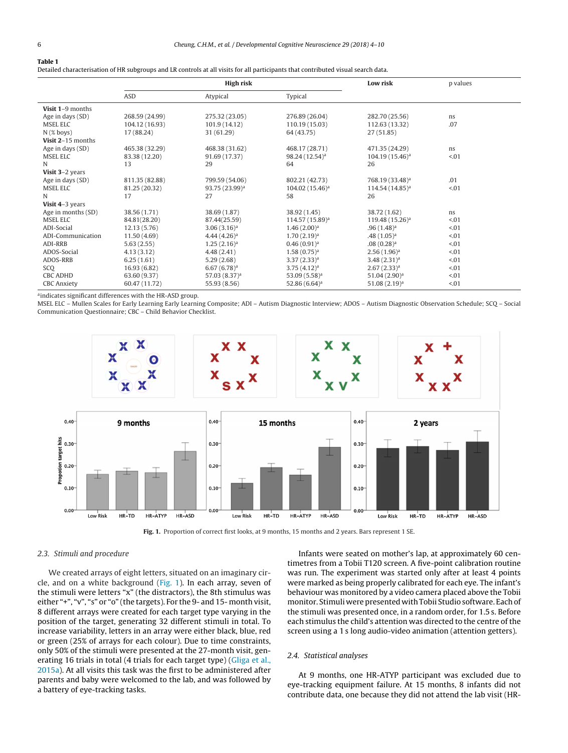## <span id="page-2-0"></span>**Table 1**

Detailed characterisation of HR subgroups and LR controls at all visits for all participants that contributed visual search data.

|                    |                | High risk                  |                             | Low risk                    | p values |
|--------------------|----------------|----------------------------|-----------------------------|-----------------------------|----------|
|                    | ASD            | Atypical                   | Typical                     |                             |          |
| Visit 1-9 months   |                |                            |                             |                             |          |
| Age in days (SD)   | 268.59 (24.99) | 275.32 (23.05)             | 276.89 (26.04)              | 282.70 (25.56)              | ns       |
| <b>MSEL ELC</b>    | 104.12 (16.93) | 101.9 (14.12)              | 110.19 (15.03)              | 112.63 (13.32)              | .07      |
| $N$ (% boys)       | 17 (88.24)     | 31 (61.29)                 | 64 (43.75)                  | 27(51.85)                   |          |
| Visit 2-15 months  |                |                            |                             |                             |          |
| Age in days (SD)   | 465.38 (32.29) | 468.38 (31.62)             | 468.17 (28.71)              | 471.35 (24.29)              | ns       |
| <b>MSEL ELC</b>    | 83.38 (12.20)  | 91.69 (17.37)              | 98.24 (12.54) <sup>a</sup>  | 104.19 (15.46) <sup>a</sup> | < 0.01   |
| N                  | 13             | 29                         | 64                          | 26                          |          |
| Visit 3-2 years    |                |                            |                             |                             |          |
| Age in days (SD)   | 811.35 (82.88) | 799.59 (54.06)             | 802.21 (42.73)              | 768.19 (33.48) <sup>a</sup> | .01      |
| <b>MSEL ELC</b>    | 81.25 (20.32)  | 93.75 (23.99) <sup>a</sup> | 104.02 (15.46) <sup>a</sup> | 114.54 (14.85) <sup>a</sup> | < 0.01   |
| N                  | 17             | 27                         | 58                          | 26                          |          |
| Visit 4-3 years    |                |                            |                             |                             |          |
| Age in months (SD) | 38.56 (1.71)   | 38.69 (1.87)               | 38.92 (1.45)                | 38.72 (1.62)                | ns       |
| <b>MSEL ELC</b>    | 84.81(28.20)   | 87.44(25.59)               | 114.57 (15.89) <sup>a</sup> | 119.48 (15.26) <sup>a</sup> | < 0.01   |
| ADI-Social         | 12.13(5.76)    | 3.06(3.16) <sup>a</sup>    | 1.46(2.00) <sup>a</sup>     | $.96(1.48)^a$               | < 0.01   |
| ADI-Communication  | 11.50(4.69)    | $4.44(4.26)^a$             | $1.70(2.19)^a$              | $.48(1.05)^{a}$             | < 0.01   |
| <b>ADI-RRB</b>     | 5.63(2.55)     | $1.25(2.16)^a$             | $0.46(0.91)^a$              | .08(0.28) <sup>a</sup>      | < 0.01   |
| ADOS-Social        | 4.13(3.12)     | 4.48(2.41)                 | $1.58(0.75)^a$              | $2.56(1.96)^a$              | < 0.01   |
| ADOS-RRB           | 6.25(1.61)     | 5.29(2.68)                 | $3.37(2.33)^a$              | $3.48(2.31)^a$              | < 0.01   |
| SCO                | 16.93 (6.82)   | $6.67(6.78)^a$             | $3.75(4.12)^a$              | 2.67(2.33) <sup>a</sup>     | < 0.01   |
| <b>CBC ADHD</b>    | 63.60 (9.37)   | 57.03 (8.37) <sup>a</sup>  | $53.09(5.58)^a$             | $51.04(2.90)^a$             | < 0.01   |
| <b>CBC</b> Anxiety | 60.47 (11.72)  | 55.93 (8.56)               | $52.86(6.64)^a$             | $51.08(2.19)^a$             | < 0.01   |

aindicates significant differences with the HR-ASD group.

MSEL ELC – Mullen Scales for Early Learning Early Learning Composite; ADI – Autism Diagnostic Interview; ADOS – Autism Diagnostic Observation Schedule; SCQ – Social Communication Questionnaire; CBC – Child Behavior Checklist.



**Fig. 1.** Proportion of correct first looks, at 9 months, 15 months and 2 years. Bars represent 1 SE.

#### 2.3. Stimuli and procedure

We created arrays of eight letters, situated on an imaginary circle, and on a white background (Fig. 1). In each array, seven of the stimuli were letters "x" (the distractors), the 8th stimulus was either "+", "v", "s" or "o" (the targets). For the 9- and 15- month visit, 8 different arrays were created for each target type varying in the position of the target, generating 32 different stimuli in total. To increase variability, letters in an array were either black, blue, red or green (25% of arrays for each colour). Due to time constraints, only 50% of the stimuli were presented at the 27-month visit, gen-erating 16 trials in total (4 trials for each target type) [\(Gliga](#page-6-0) et [al.,](#page-6-0) [2015a\).](#page-6-0) At all visits this task was the first to be administered after parents and baby were welcomed to the lab, and was followed by a battery of eye-tracking tasks.

Infants were seated on mother's lap, at approximately 60 centimetres from a Tobii T120 screen. A five-point calibration routine was run. The experiment was started only after at least 4 points were marked as being properly calibrated for each eye. The infant's behaviour was monitored by a video camera placed above the Tobii monitor. Stimuli were presented with Tobii Studio software. Each of the stimuli was presented once, in a random order, for 1.5 s. Before each stimulus the child's attention was directed to the centre of the screen using a 1 s long audio-video animation (attention getters).

#### 2.4. Statistical analyses

At 9 months, one HR-ATYP participant was excluded due to eye-tracking equipment failure. At 15 months, 8 infants did not contribute data, one because they did not attend the lab visit (HR-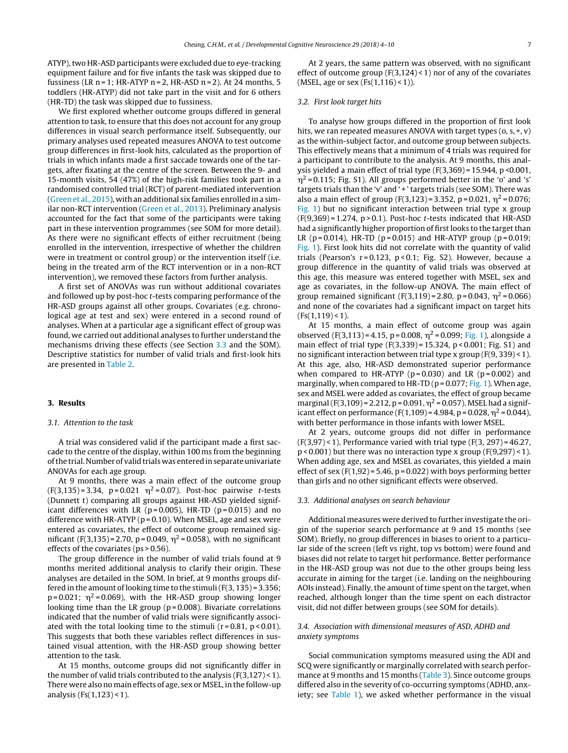ATYP), two HR-ASD participants were excluded due to eye-tracking equipment failure and for five infants the task was skipped due to fussiness (LR  $n = 1$ ; HR-ATYP  $n = 2$ , HR-ASD  $n = 2$ ). At 24 months, 5 toddlers (HR-ATYP) did not take part in the visit and for 6 others (HR-TD) the task was skipped due to fussiness.

We first explored whether outcome groups differed in general attention to task, to ensure that this does not account for any group differences in visual search performance itself. Subsequently, our primary analyses used repeated measures ANOVA to test outcome group differences in first-look hits, calculated as the proportion of trials in which infants made a first saccade towards one of the targets, after fixating at the centre of the screen. Between the 9- and 15-month visits, 54 (47%) of the high-risk families took part in a randomised controlled trial (RCT) of parent-mediated intervention ([Green](#page-6-0) et [al.,](#page-6-0) [2015\),](#page-6-0) with an additional six families enrolled in a similar non-RCT intervention [\(Green](#page-6-0) et [al.,](#page-6-0) [2013\).](#page-6-0) Preliminary analysis accounted for the fact that some of the participants were taking part in these intervention programmes (see SOM for more detail). As there were no significant effects of either recruitment (being enrolled in the intervention, irrespective of whether the children were in treatment or control group) or the intervention itself (i.e. being in the treated arm of the RCT intervention or in a non-RCT intervention), we removed these factors from further analysis.

A first set of ANOVAs was run without additional covariates and followed up by post-hoc t-tests comparing performance of the HR-ASD groups against all other groups. Covariates (e.g. chronological age at test and sex) were entered in a second round of analyses. When at a particular age a significant effect of group was found, we carried out additional analyses to further understand the mechanisms driving these effects (see Section 3.3 and the SOM). Descriptive statistics for number of valid trials and first-look hits are presented in [Table](#page-4-0) 2.

#### **3. Results**

#### 3.1. Attention to the task

A trial was considered valid if the participant made a first saccade to the centre of the display, within 100 ms from the beginning of the trial. Number of valid trials was entered in separate univariate ANOVAs for each age group.

At 9 months, there was a main effect of the outcome group  $(F(3, 135) = 3.34, p = 0.021 \eta^2 = 0.07)$ . Post-hoc pairwise t-tests (Dunnett t) comparing all groups against HR-ASD yielded significant differences with LR ( $p = 0.005$ ), HR-TD ( $p = 0.015$ ) and no difference with HR-ATYP ( $p = 0.10$ ). When MSEL, age and sex were entered as covariates, the effect of outcome group remained significant (F(3,135) = 2.70, p = 0.049,  $\eta^2$  = 0.058), with no significant effects of the covariates (ps > 0.56).

The group difference in the number of valid trials found at 9 months merited additional analysis to clarify their origin. These analyses are detailed in the SOM. In brief, at 9 months groups differed in the amount of looking time to the stimuli  $(F(3, 135) = 3.356;$  $p = 0.021$ ;  $\eta^2 = 0.069$ ), with the HR-ASD group showing longer looking time than the LR group ( $p = 0.008$ ). Bivariate correlations indicated that the number of valid trials were significantly associated with the total looking time to the stimuli  $(r = 0.81, p < 0.01)$ . This suggests that both these variables reflect differences in sustained visual attention, with the HR-ASD group showing better attention to the task.

At 15 months, outcome groups did not significantly differ in the number of valid trials contributed to the analysis  $(F(3,127) < 1)$ . There were also no main effects of age, sex or MSEL, in the follow-up analysis ( $Fs(1,123) < 1$ ).

At 2 years, the same pattern was observed, with no significant effect of outcome group  $(F(3,124) < 1)$  nor of any of the covariates (MSEL, age or sex  $(Fs(1,116) < 1)$ ).

#### 3.2. First look target hits

To analyse how groups differed in the proportion of first look hits, we ran repeated measures ANOVA with target types  $(o, s, +, v)$ as the within-subject factor, and outcome group between subjects. This effectively means that a minimum of 4 trials was required for a participant to contribute to the analysis. At 9 months, this analysis yielded a main effect of trial type (F(3,369) = 15.944, p <0.001,  $\eta^2$  = 0.115; Fig. S1). All groups performed better in the 'o' and 's' targets trials than the 'v' and '+' targets trials (see SOM). There was also a main effect of group (F(3,123) = 3.352, p = 0.021,  $\eta^2$  = 0.076; [Fig.](#page-2-0) 1) but no significant interaction between trial type x group  $(F(9,369) = 1.274, p > 0.1)$ . Post-hoc *t*-tests indicated that HR-ASD had a significantly higher proportion of first looks to the target than LR ( $p = 0.014$ ), HR-TD ( $p = 0.015$ ) and HR-ATYP group ( $p = 0.019$ ; [Fig.](#page-2-0) 1). First look hits did not correlate with the quantity of valid trials (Pearson's  $r = 0.123$ ,  $p < 0.1$ ; Fig. S2). However, because a group difference in the quantity of valid trials was observed at this age, this measure was entered together with MSEL, sex and age as covariates, in the follow-up ANOVA. The main effect of group remained significant (F(3,119) = 2.80, p = 0.043,  $\eta^2$  = 0.066) and none of the covariates had a significant impact on target hits  $(Fs(1.119) < 1)$ .

At 15 months, a main effect of outcome group was again observed (F(3,113) = 4.15, p = 0.008,  $\eta^2$  = 0.099; [Fig.](#page-2-0) 1), alongside a main effect of trial type (F(3,339) = 15.324, p < 0.001; Fig. S1) and no significant interaction between trial type x group (F(9, 339) < 1). At this age, also, HR-ASD demonstrated superior performance when compared to HR-ATYP ( $p = 0.030$ ) and LR ( $p = 0.002$ ) and marginally, when compared to HR-TD ( $p = 0.077$ ; [Fig.](#page-2-0) 1). When age, sex and MSEL were added as covariates, the effect of group became marginal (F(3,109) = 2.212, p = 0.091,  $\eta^2$  = 0.057). MSEL had a significant effect on performance (F(1,109) = 4.984, p = 0.028,  $\eta^2$  = 0.044), with better performance in those infants with lower MSEL.

At 2 years, outcome groups did not differ in performance  $(F(3,97) < 1)$ . Performance varied with trial type  $(F(3, 297) = 46.27$ ,  $p$  < 0.001) but there was no interaction type x group (F(9,297) < 1). When adding age, sex and MSEL as covariates, this yielded a main effect of sex  $(F(1,92) = 5.46, p = 0.022)$  with boys performing better than girls and no other significant effects were observed.

#### 3.3. Additional analyses on search behaviour

Additional measures were derived to further investigate the origin of the superior search performance at 9 and 15 months (see SOM). Briefly, no group differences in biases to orient to a particular side of the screen (left vs right, top vs bottom) were found and biases did not relate to target hit performance. Better performance in the HR-ASD group was not due to the other groups being less accurate in aiming for the target (i.e. landing on the neighbouring AOIs instead). Finally, the amount of time spent on the target, when reached, although longer than the time spent on each distractor visit, did not differ between groups (see SOM for details).

## 3.4. Association with dimensional measures of ASD, ADHD and anxiety symptoms

Social communication symptoms measured using the ADI and SCQ were significantly or marginally correlated with search performance at 9 months and 15 months ([Table](#page-4-0) 3). Since outcome groups differed also in the severity of co-occurring symptoms (ADHD, anxiety; see [Table](#page-2-0) 1), we asked whether performance in the visual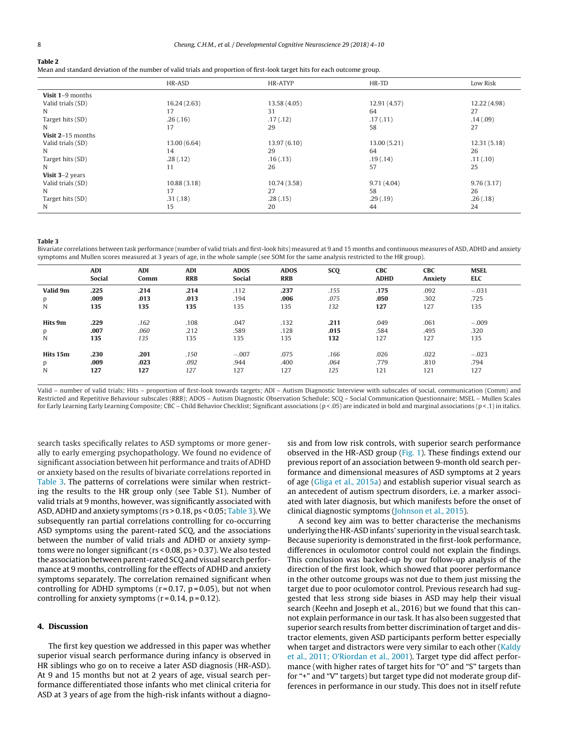#### <span id="page-4-0"></span>**Table 2**

Mean and standard deviation of the number of valid trials and proportion of first-look target hits for each outcome group.

|                   | HR-ASD       | HR-ATYP      | HR-TD        | Low Risk     |
|-------------------|--------------|--------------|--------------|--------------|
| Visit 1-9 months  |              |              |              |              |
| Valid trials (SD) | 16.24(2.63)  | 13.58 (4.05) | 12.91 (4.57) | 12.22 (4.98) |
| N                 | 17           | 31           | 64           | 27           |
| Target hits (SD)  | .26(.16)     | .17(0.12)    | .17(0.11)    | .14(.09)     |
| N                 | 17           | 29           | 58           | 27           |
| Visit 2-15 months |              |              |              |              |
| Valid trials (SD) | 13.00 (6.64) | 13.97 (6.10) | 13.00 (5.21) | 12.31 (5.18) |
| N                 | 14           | 29           | 64           | 26           |
| Target hits (SD)  | .28(.12)     | .16(.13)     | .19(0.14)    | .11(.10)     |
| N                 | 11           | 26           | 57           | 25           |
| Visit 3-2 years   |              |              |              |              |
| Valid trials (SD) | 10.88(3.18)  | 10.74 (3.58) | 9.71(4.04)   | 9.76(3.17)   |
| N                 | 17           | 27           | 58           | 26           |
| Target hits (SD)  | .31(.18)     | .28(.15)     | .29(.19)     | .26(.18)     |
| N                 | 15           | 20           | 44           | 24           |

#### **Table 3**

Bivariate correlations between task performance (number of valid trials and first-look hits) measured at 9 and 15 months and continuous measures of ASD, ADHD and anxiety symptoms and Mullen scores measured at 3 years of age, in the whole sample (see SOM for the same analysis restricted to the HR group).

|          | <b>ADI</b><br><b>Social</b> | <b>ADI</b><br>Comm | <b>ADI</b><br><b>RRB</b> | <b>ADOS</b><br><b>Social</b> | <b>ADOS</b><br><b>RRB</b> | <b>SCQ</b> | <b>CBC</b><br><b>ADHD</b> | <b>CBC</b><br>Anxiety | <b>MSEL</b><br><b>ELC</b> |
|----------|-----------------------------|--------------------|--------------------------|------------------------------|---------------------------|------------|---------------------------|-----------------------|---------------------------|
| Valid 9m | .225                        | .214               | .214                     | .112                         | .237                      | .155       | .175                      | .092                  | $-.031$                   |
| p        | .009                        | .013               | .013                     | .194                         | .006                      | .075       | .050                      | .302                  | .725                      |
| N        | 135                         | 135                | 135                      | 135                          | 135                       | 132        | 127                       | 127                   | 135                       |
| Hits 9m  | .229                        | .162               | .108                     | .047                         | .132                      | .211       | .049                      | .061                  | $-.009$                   |
| p        | .007                        | .060               | .212                     | .589                         | .128                      | .015       | .584                      | .495                  | .320                      |
| N        | 135                         | 135                | 135                      | 135                          | 135                       | 132        | 127                       | 127                   | 135                       |
| Hits 15m | .230                        | .201               | .150                     | $-.007$                      | .075                      | .166       | .026                      | .022                  | $-.023$                   |
| p        | .009                        | .023               | .092                     | .944                         | .400                      | .064       | .779                      | .810                  | .794                      |
| N        | 127                         | 127                | 127                      | 127                          | 127                       | 125        | 121                       | 121                   | 127                       |
|          |                             |                    |                          |                              |                           |            |                           |                       |                           |

Valid – number of valid trials; Hits – proportion of first-look towards targets; ADI – Autism Diagnostic Interview with subscales of social, communication (Comm) and Restricted and Repetitive Behaviour subscales (RRB); ADOS – Autism Diagnostic Observation Schedule; SCQ – Social Communication Questionnaire; MSEL – Mullen Scales for Early Learning Early Learning Composite; CBC – Child Behavior Checklist; Significant associations (p < .05) are indicated in bold and marginal associations (p < .1) in italics.

search tasks specifically relates to ASD symptoms or more generally to early emerging psychopathology. We found no evidence of significant association between hit performance and traits of ADHD or anxiety based on the results of bivariate correlations reported in Table 3. The patterns of correlations were similar when restricting the results to the HR group only (see Table S1). Number of valid trials at 9 months, however, was significantly associated with ASD, ADHD and anxiety symptoms (rs > 0.18, ps < 0.05; Table 3). We subsequently ran partial correlations controlling for co-occurring ASD symptoms using the parent-rated SCQ, and the associations between the number of valid trials and ADHD or anxiety symptoms were no longer significant (rs < 0.08, ps > 0.37). We also tested the association between parent-rated SCQ and visual search performance at 9 months, controlling for the effects of ADHD and anxiety symptoms separately. The correlation remained significant when controlling for ADHD symptoms ( $r = 0.17$ ,  $p = 0.05$ ), but not when controlling for anxiety symptoms ( $r = 0.14$ ,  $p = 0.12$ ).

#### **4. Discussion**

The first key question we addressed in this paper was whether superior visual search performance during infancy is observed in HR siblings who go on to receive a later ASD diagnosis (HR-ASD). At 9 and 15 months but not at 2 years of age, visual search performance differentiated those infants who met clinical criteria for ASD at 3 years of age from the high-risk infants without a diagnosis and from low risk controls, with superior search performance observed in the HR-ASD group ([Fig.](#page-2-0) 1). These findings extend our previous report of an association between 9-month old search performance and dimensional measures of ASD symptoms at 2 years of age [\(Gliga](#page-6-0) et [al.,](#page-6-0) [2015a\)](#page-6-0) and establish superior visual search as an antecedent of autism spectrum disorders, i.e. a marker associated with later diagnosis, but which manifests before the onset of clinical diagnostic symptoms [\(Johnson](#page-6-0) et [al.,](#page-6-0) [2015\).](#page-6-0)

A second key aim was to better characterise the mechanisms underlying the HR-ASD infants' superiority in the visual search task. Because superiority is demonstrated in the first-look performance, differences in oculomotor control could not explain the findings. This conclusion was backed-up by our follow-up analysis of the direction of the first look, which showed that poorer performance in the other outcome groups was not due to them just missing the target due to poor oculomotor control. Previous research had suggested that less strong side biases in ASD may help their visual search (Keehn and Joseph et al., 2016) but we found that this cannot explain performance in our task. It has also been suggested that superior search results from better discrimination of target and distractor elements, given ASD participants perform better especially when target and distractors were very similar to each other [\(Kaldy](#page-6-0) et [al.,](#page-6-0) [2011;](#page-6-0) [O'Riordan](#page-6-0) et [al.,](#page-6-0) [2001\).](#page-6-0) Target type did affect performance (with higher rates of target hits for "O" and "S" targets than for "+" and "V" targets) but target type did not moderate group differences in performance in our study. This does not in itself refute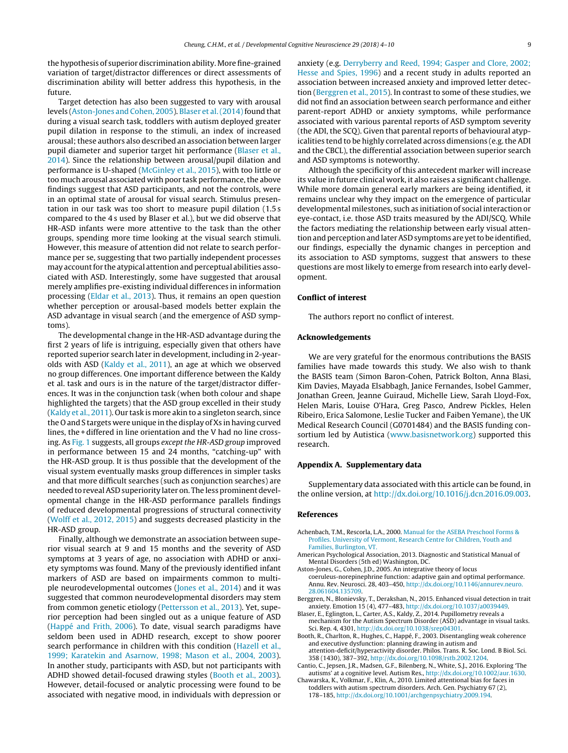<span id="page-5-0"></span>the hypothesis of superior discrimination ability. Morefine-grained variation of target/distractor differences or direct assessments of discrimination ability will better address this hypothesis, in the future.

Target detection has also been suggested to vary with arousal levels (Aston-Jones and Cohen, 2005). Blaser et al. (2014) found that during a visual search task, toddlers with autism deployed greater pupil dilation in response to the stimuli, an index of increased arousal; these authors also described an association between larger pupil diameter and superior target hit performance (Blaser et al., 2014). Since the relationship between arousal/pupil dilation and performance is U-shaped [\(McGinley](#page-6-0) et [al.,](#page-6-0) [2015\),](#page-6-0) with too little or too much arousal associated with poor task performance, the above findings suggest that ASD participants, and not the controls, were in an optimal state of arousal for visual search. Stimulus presentation in our task was too short to measure pupil dilation (1.5 s compared to the 4 s used by Blaser et al.), but we did observe that HR-ASD infants were more attentive to the task than the other groups, spending more time looking at the visual search stimuli. However, this measure of attention did not relate to search performance per se, suggesting that two partially independent processes may account for the atypical attention and perceptual abilities associated with ASD. Interestingly, some have suggested that arousal merely amplifies pre-existing individual differences in information processing [\(Eldar](#page-6-0) et [al.,](#page-6-0) [2013\).](#page-6-0) Thus, it remains an open question whether perception or arousal-based models better explain the ASD advantage in visual search (and the emergence of ASD symptoms).

The developmental change in the HR-ASD advantage during the first 2 years of life is intriguing, especially given that others have reported superior search later in development, including in 2-yearolds with ASD ([Kaldy](#page-6-0) et [al.,](#page-6-0) [2011\),](#page-6-0) an age at which we observed no group differences. One important difference between the Kaldy et al. task and ours is in the nature of the target/distractor differences. It was in the conjunction task (when both colour and shape highlighted the targets) that the ASD group excelled in their study ([Kaldy](#page-6-0) et [al.,](#page-6-0) [2011\).](#page-6-0) Our task is more akin to a singleton search, since the O and S targets were unique in the display of Xs in having curved lines, the + differed in line orientation and the V had no line crossing. As [Fig.](#page-2-0) 1 suggests, all groups except the HR-ASD group improved in performance between 15 and 24 months, "catching-up" with the HR-ASD group. It is thus possible that the development of the visual system eventually masks group differences in simpler tasks and that more difficult searches (such as conjunction searches) are needed to reveal ASD superiority later on. The less prominent developmental change in the HR-ASD performance parallels findings of reduced developmental progressions of structural connectivity ([Wolff](#page-6-0) et [al.,](#page-6-0) [2012,](#page-6-0) [2015\)](#page-6-0) and suggests decreased plasticity in the HR-ASD group.

Finally, although we demonstrate an association between superior visual search at 9 and 15 months and the severity of ASD symptoms at 3 years of age, no association with ADHD or anxiety symptoms was found. Many of the previously identified infant markers of ASD are based on impairments common to multiple neurodevelopmental outcomes ([Jones](#page-6-0) et [al.,](#page-6-0) [2014\)](#page-6-0) and it was suggested that common neurodevelopmental disorders may stem from common genetic etiology [\(Pettersson](#page-6-0) et [al.,](#page-6-0) [2013\).](#page-6-0) Yet, superior perception had been singled out as a unique feature of ASD ([Happé](#page-6-0) [and](#page-6-0) [Frith,](#page-6-0) [2006\).](#page-6-0) To date, visual search paradigms have seldom been used in ADHD research, except to show poorer search performance in children with this condition ([Hazell](#page-6-0) et [al.,](#page-6-0) [1999;](#page-6-0) [Karatekin](#page-6-0) [and](#page-6-0) [Asarnow,](#page-6-0) [1998;](#page-6-0) [Mason](#page-6-0) et [al.,](#page-6-0) [2004,](#page-6-0) [2003\).](#page-6-0) In another study, participants with ASD, but not participants with ADHD showed detail-focused drawing styles (Booth et al., 2003). However, detail-focused or analytic processing were found to be associated with negative mood, in individuals with depression or anxiety (e.g. [Derryberry](#page-6-0) [and](#page-6-0) [Reed,](#page-6-0) [1994;](#page-6-0) [Gasper](#page-6-0) [and](#page-6-0) [Clore,](#page-6-0) [2002;](#page-6-0) [Hesse](#page-6-0) [and](#page-6-0) [Spies,](#page-6-0) [1996\)](#page-6-0) and a recent study in adults reported an association between increased anxiety and improved letter detection (Berggren et al., 2015). In contrast to some of these studies, we did not find an association between search performance and either parent-report ADHD or anxiety symptoms, while performance associated with various parental reports of ASD symptom severity (the ADI, the SCQ). Given that parental reports of behavioural atypicalities tend to be highly correlated across dimensions (e.g.the ADI and the CBCL), the differential association between superior search and ASD symptoms is noteworthy.

Although the specificity of this antecedent marker will increase its value in future clinical work, it also raises a significant challenge. While more domain general early markers are being identified, it remains unclear why they impact on the emergence of particular developmental milestones, such as initiation of social interaction or eye-contact, i.e. those ASD traits measured by the ADI/SCQ. While the factors mediating the relationship between early visual attention and perception and later ASD symptoms are yet to be identified, our findings, especially the dynamic changes in perception and its association to ASD symptoms, suggest that answers to these questions are most likely to emerge from research into early development.

#### **Conflict of interest**

The authors report no conflict of interest.

#### **Acknowledgements**

We are very grateful for the enormous contributions the BASIS families have made towards this study. We also wish to thank the BASIS team (Simon Baron-Cohen, Patrick Bolton, Anna Blasi, Kim Davies, Mayada Elsabbagh, Janice Fernandes, Isobel Gammer, Jonathan Green, Jeanne Guiraud, Michelle Liew, Sarah Lloyd-Fox, Helen Maris, Louise O'Hara, Greg Pasco, Andrew Pickles, Helen Ribeiro, Erica Salomone, Leslie Tucker and Faiben Yemane), the UK Medical Research Council (G0701484) and the BASIS funding consortium led by Autistica [\(www.basisnetwork.org](http://www.basisnetwork.org)) supported this research.

#### **Appendix A. Supplementary data**

Supplementary data associated with this article can be found, in the online version, at <http://dx.doi.org/10.1016/j.dcn.2016.09.003>.

#### **References**

- Achenbach, T.M., Rescorla, L.A., 2000. [Manual](http://refhub.elsevier.com/S1878-9293(16)30121-9/sbref0005) [for](http://refhub.elsevier.com/S1878-9293(16)30121-9/sbref0005) [the](http://refhub.elsevier.com/S1878-9293(16)30121-9/sbref0005) [ASEBA](http://refhub.elsevier.com/S1878-9293(16)30121-9/sbref0005) [Preschool](http://refhub.elsevier.com/S1878-9293(16)30121-9/sbref0005) [Forms](http://refhub.elsevier.com/S1878-9293(16)30121-9/sbref0005) [&](http://refhub.elsevier.com/S1878-9293(16)30121-9/sbref0005) [Profiles.](http://refhub.elsevier.com/S1878-9293(16)30121-9/sbref0005) [University](http://refhub.elsevier.com/S1878-9293(16)30121-9/sbref0005) [of](http://refhub.elsevier.com/S1878-9293(16)30121-9/sbref0005) [Vermont,](http://refhub.elsevier.com/S1878-9293(16)30121-9/sbref0005) [Research](http://refhub.elsevier.com/S1878-9293(16)30121-9/sbref0005) [Centre](http://refhub.elsevier.com/S1878-9293(16)30121-9/sbref0005) [for](http://refhub.elsevier.com/S1878-9293(16)30121-9/sbref0005) [Children,](http://refhub.elsevier.com/S1878-9293(16)30121-9/sbref0005) [Youth](http://refhub.elsevier.com/S1878-9293(16)30121-9/sbref0005) [and](http://refhub.elsevier.com/S1878-9293(16)30121-9/sbref0005) [Families,](http://refhub.elsevier.com/S1878-9293(16)30121-9/sbref0005) [Burlington,](http://refhub.elsevier.com/S1878-9293(16)30121-9/sbref0005) [VT.](http://refhub.elsevier.com/S1878-9293(16)30121-9/sbref0005)
- American Psychological Association, 2013. Diagnostic and Statistical Manual of Mental Disorders (5th ed) Washington, DC.
- Aston-Jones, G., Cohen, J.D., 2005. An integrative theory of locus coeruleus-norepinephrine function: adaptive gain and optimal performance. Annu. Rev. Neurosci. 28, 403–450, [http://dx.doi.org/10.1146/annurev.neuro.](dx.doi.org/10.1146/annurev.neuro.28.061604.135709) [28.061604.135709.](dx.doi.org/10.1146/annurev.neuro.28.061604.135709)
- Berggren, N., Blonievsky, T., Derakshan, N., 2015. Enhanced visual detection in trait anxiety. Emotion 15 (4), 477–483, [http://dx.doi.org/10.1037/a0039449.](dx.doi.org/10.1037/a0039449)
- Blaser, E., Eglington, L., Carter, A.S., Kaldy, Z., 2014. Pupillometry reveals a mechanism for the Autism Spectrum Disorder (ASD) advantage in visual tasks. Sci. Rep. 4, 4301, [http://dx.doi.org/10.1038/srep04301](dx.doi.org/10.1038/srep04301).
- Booth, R., Charlton, R., Hughes, C., Happé, F., 2003. Disentangling weak coherence and executive dysfunction: planning drawing in autism and attention-deficit/hyperactivity disorder. Philos. Trans. R. Soc. Lond. B Biol. Sci.
- 358 (1430), 387–392, [http://dx.doi.org/10.1098/rstb.2002.1204](dx.doi.org/10.1098/rstb.2002.1204). Cantio, C., Jepsen, J.R., Madsen, G.F., Bilenberg, N., White, S.J., 2016. Exploring 'The
- autisms' at a cognitive level. Autism Res., [http://dx.doi.org/10.1002/aur.1630](dx.doi.org/10.1002/aur.1630). Chawarska, K., Volkmar, F., Klin, A., 2010. Limited attentional bias for faces in
- toddlers with autism spectrum disorders. Arch. Gen. Psychiatry 67 (2), 178–185, [http://dx.doi.org/10.1001/archgenpsychiatry.2009.194](dx.doi.org/10.1001/archgenpsychiatry.2009.194).